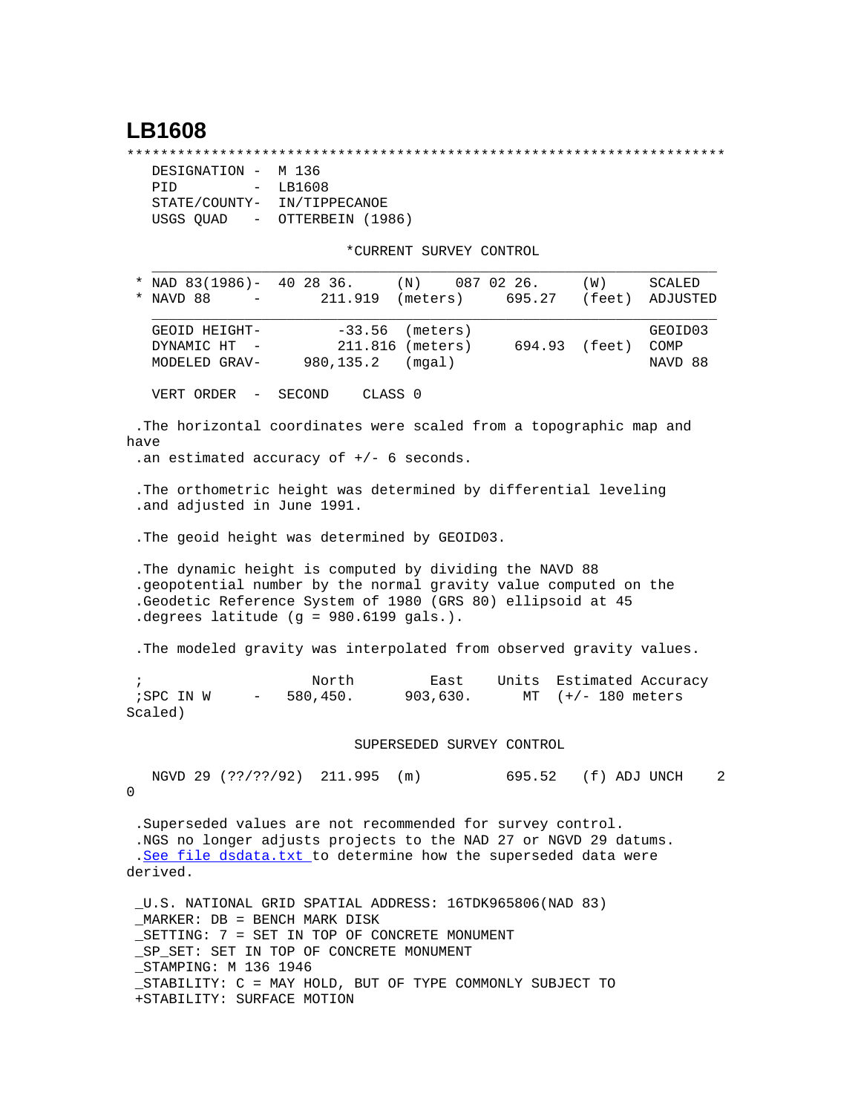## **LB1608**

\*\*\*\*\*\*\*\*\*\*\*\*\*\*\*\*\*\*\*\*\*\*\*\*\*\*\*\*\*\*\*\*\*\*\*\*\*\*\*\*\*\*\*\*\*\*\*\*\*\*\*\*\*\*\*\*\*\*\*\*\*\*\*\*\*\*\*\*\*\*\*

| DESIGNATION -                         | M 136            |  |  |
|---------------------------------------|------------------|--|--|
| PTD<br>$\sim$ $-$                     | LB1608           |  |  |
| STATE/COUNTY-                         | IN/TIPPECANOE    |  |  |
| USGS OUAD<br>$\alpha_{\rm{max}}=0.01$ | OTTERBEIN (1986) |  |  |

\*CURRENT SURVEY CONTROL

|                       | * NAD $83(1986)$ - 40 28 36.<br>NAVD 88                                                                                                                                                                                                | 211.919                                                                                                                                                                                          | $(N)$ 087 02 26.<br>(meters)           | 695.27 (feet)                  | (W)               | SCALED<br>ADJUSTED         |  |  |  |
|-----------------------|----------------------------------------------------------------------------------------------------------------------------------------------------------------------------------------------------------------------------------------|--------------------------------------------------------------------------------------------------------------------------------------------------------------------------------------------------|----------------------------------------|--------------------------------|-------------------|----------------------------|--|--|--|
|                       | GEOID HEIGHT-<br>DYNAMIC HT -<br>MODELED GRAV-                                                                                                                                                                                         | $-33.56$<br>980,135.2                                                                                                                                                                            | (meters)<br>211.816 (meters)<br>(mgal) | 694.93 (feet)                  |                   | GEOID03<br>COMP<br>NAVD 88 |  |  |  |
|                       | VERT ORDER - SECOND                                                                                                                                                                                                                    |                                                                                                                                                                                                  | CLASS <sub>0</sub>                     |                                |                   |                            |  |  |  |
| have                  |                                                                                                                                                                                                                                        | . The horizontal coordinates were scaled from a topographic map and<br>.an estimated accuracy of $+/-$ 6 seconds.<br>. The orthometric height was determined by differential leveling            |                                        |                                |                   |                            |  |  |  |
|                       | .and adjusted in June 1991.                                                                                                                                                                                                            |                                                                                                                                                                                                  |                                        |                                |                   |                            |  |  |  |
|                       |                                                                                                                                                                                                                                        | . The geoid height was determined by GEOID03.                                                                                                                                                    |                                        |                                |                   |                            |  |  |  |
|                       | . The dynamic height is computed by dividing the NAVD 88<br>.geopotential number by the normal gravity value computed on the<br>.Geodetic Reference System of 1980 (GRS 80) ellipsoid at 45<br>.degrees latitude (g = 980.6199 gals.). |                                                                                                                                                                                                  |                                        |                                |                   |                            |  |  |  |
|                       |                                                                                                                                                                                                                                        | . The modeled gravity was interpolated from observed gravity values.                                                                                                                             |                                        |                                |                   |                            |  |  |  |
| $\ddot{i}$<br>Scaled) | ; SPC IN W                                                                                                                                                                                                                             | North<br>$-580,450.$ 903,630.                                                                                                                                                                    | East                                   | Units Estimated Accuracy<br>MT | $(+/- 180$ meters |                            |  |  |  |
|                       |                                                                                                                                                                                                                                        |                                                                                                                                                                                                  | SUPERSEDED SURVEY CONTROL              |                                |                   |                            |  |  |  |
| 0                     |                                                                                                                                                                                                                                        | NGVD 29 (??/??/92) 211.995 (m)                                                                                                                                                                   |                                        | 695.52                         | (f) ADJ UNCH      | $\overline{2}$             |  |  |  |
|                       |                                                                                                                                                                                                                                        | .Superseded values are not recommended for survey control.<br>.NGS no longer adjusts projects to the NAD 27 or NGVD 29 datums.<br>.See file dsdata.txt to determine how the superseded data were |                                        |                                |                   |                            |  |  |  |

derived.

 \_U.S. NATIONAL GRID SPATIAL ADDRESS: 16TDK965806(NAD 83) \_MARKER: DB = BENCH MARK DISK \_SETTING: 7 = SET IN TOP OF CONCRETE MONUMENT \_SP\_SET: SET IN TOP OF CONCRETE MONUMENT \_STAMPING: M 136 1946 \_STABILITY: C = MAY HOLD, BUT OF TYPE COMMONLY SUBJECT TO +STABILITY: SURFACE MOTION